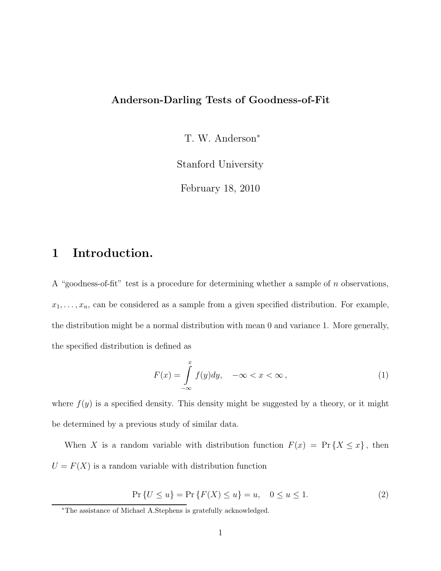#### Anderson-Darling Tests of Goodness-of-Fit

T. W. Anderson<sup>∗</sup>

Stanford University

February 18, 2010

### 1 Introduction.

A "goodness-of-fit" test is a procedure for determining whether a sample of n observations,  $x_1, \ldots, x_n$ , can be considered as a sample from a given specified distribution. For example, the distribution might be a normal distribution with mean 0 and variance 1. More generally, the specified distribution is defined as

$$
F(x) = \int_{-\infty}^{x} f(y) dy, \quad -\infty < x < \infty \,, \tag{1}
$$

where  $f(y)$  is a specified density. This density might be suggested by a theory, or it might be determined by a previous study of similar data.

When X is a random variable with distribution function  $F(x) = Pr\{X \leq x\}$ , then  $U = F(X)$  is a random variable with distribution function

$$
\Pr\{U \le u\} = \Pr\{F(X) \le u\} = u, \quad 0 \le u \le 1. \tag{2}
$$

<sup>∗</sup>The assistance of Michael A.Stephens is gratefully acknowledged.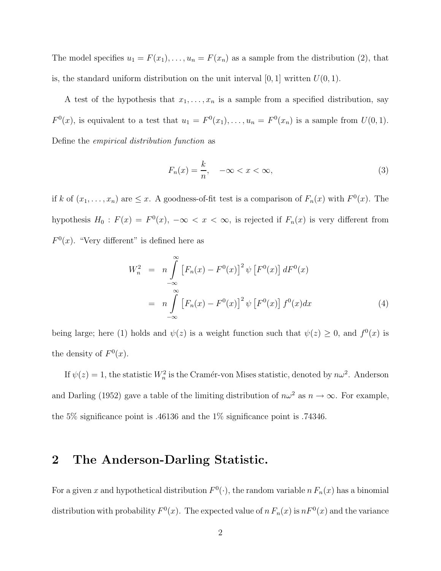The model specifies  $u_1 = F(x_1), \ldots, u_n = F(x_n)$  as a sample from the distribution (2), that is, the standard uniform distribution on the unit interval  $[0, 1]$  written  $U(0, 1)$ .

A test of the hypothesis that  $x_1, \ldots, x_n$  is a sample from a specified distribution, say  $F^0(x)$ , is equivalent to a test that  $u_1 = F^0(x_1), \ldots, u_n = F^0(x_n)$  is a sample from  $U(0, 1)$ . Define the empirical distribution function as

$$
F_n(x) = \frac{k}{n}, \quad -\infty < x < \infty,\tag{3}
$$

if k of  $(x_1, \ldots, x_n)$  are  $\leq x$ . A goodness-of-fit test is a comparison of  $F_n(x)$  with  $F^0(x)$ . The hypothesis  $H_0$ :  $F(x) = F^0(x)$ ,  $-\infty < x < \infty$ , is rejected if  $F_n(x)$  is very different from  $F<sup>0</sup>(x)$ . "Very different" is defined here as

$$
W_n^2 = n \int_{-\infty}^{\infty} \left[ F_n(x) - F^0(x) \right]^2 \psi \left[ F^0(x) \right] dF^0(x)
$$
  
= 
$$
n \int_{-\infty}^{\infty} \left[ F_n(x) - F^0(x) \right]^2 \psi \left[ F^0(x) \right] f^0(x) dx
$$
 (4)

being large; here (1) holds and  $\psi(z)$  is a weight function such that  $\psi(z) \geq 0$ , and  $f^0(x)$  is the density of  $F^0(x)$ .

If  $\psi(z) = 1$ , the statistic  $W_n^2$  is the Cramér-von Mises statistic, denoted by  $n\omega^2$ . Anderson and Darling (1952) gave a table of the limiting distribution of  $n\omega^2$  as  $n \to \infty$ . For example, the 5% significance point is .46136 and the 1% significance point is .74346.

### 2 The Anderson-Darling Statistic.

For a given x and hypothetical distribution  $F^0(\cdot)$ , the random variable  $n F_n(x)$  has a binomial distribution with probability  $F^0(x)$ . The expected value of  $n F_n(x)$  is  $n F^0(x)$  and the variance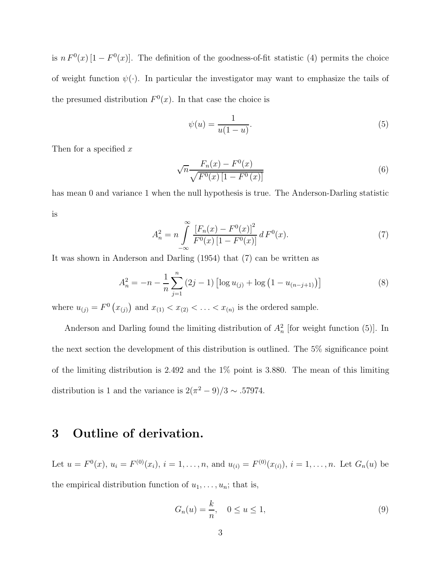is  $n F^{0}(x) [1 - F^{0}(x)]$ . The definition of the goodness-of-fit statistic (4) permits the choice of weight function  $\psi(\cdot)$ . In particular the investigator may want to emphasize the tails of the presumed distribution  $F^{0}(x)$ . In that case the choice is

$$
\psi(u) = \frac{1}{u(1-u)}.\tag{5}
$$

Then for a specified  $x$ 

$$
\sqrt{n} \frac{F_n(x) - F^0(x)}{\sqrt{F^0(x) \left[1 - F^0(x)\right]}}\tag{6}
$$

has mean 0 and variance 1 when the null hypothesis is true. The Anderson-Darling statistic is

$$
A_n^2 = n \int_{-\infty}^{\infty} \frac{\left[F_n(x) - F^0(x)\right]^2}{F^0(x) \left[1 - F^0(x)\right]} dF^0(x). \tag{7}
$$

It was shown in Anderson and Darling (1954) that (7) can be written as

$$
A_n^2 = -n - \frac{1}{n} \sum_{j=1}^n (2j - 1) \left[ \log u_{(j)} + \log \left( 1 - u_{(n-j+1)} \right) \right]
$$
 (8)

where  $u_{(j)} = F^0(x_{(j)})$  and  $x_{(1)} < x_{(2)} < \ldots < x_{(n)}$  is the ordered sample.

Anderson and Darling found the limiting distribution of  $A_n^2$  [for weight function (5)]. In the next section the development of this distribution is outlined. The 5% significance point of the limiting distribution is 2.492 and the 1% point is 3.880. The mean of this limiting distribution is 1 and the variance is  $2(\pi^2 - 9)/3 \sim .57974$ .

# 3 Outline of derivation.

Let  $u = F^{0}(x)$ ,  $u_{i} = F^{(0)}(x_{i})$ ,  $i = 1, ..., n$ , and  $u_{(i)} = F^{(0)}(x_{(i)})$ ,  $i = 1, ..., n$ . Let  $G_{n}(u)$  be the empirical distribution function of  $u_1, \ldots, u_n$ ; that is,

$$
G_n(u) = \frac{k}{n}, \quad 0 \le u \le 1,\tag{9}
$$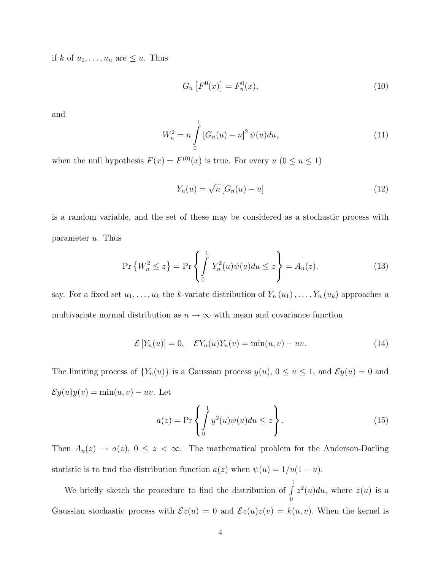if k of  $u_1, \ldots, u_n$  are  $\leq u$ . Thus

$$
G_n\left[F^0(x)\right] = F_n^0(x),\tag{10}
$$

and

$$
W_n^2 = n \int_0^1 \left[ G_n(u) - u \right]^2 \psi(u) du,\tag{11}
$$

when the null hypothesis  $F(x) = F^{(0)}(x)$  is true. For every  $u (0 \le u \le 1)$ 

$$
Y_n(u) = \sqrt{n} \left[ G_n(u) - u \right] \tag{12}
$$

is a random variable, and the set of these may be considered as a stochastic process with parameter  $u$ . Thus

$$
\Pr\left\{W_n^2 \le z\right\} = \Pr\left\{\int_0^1 Y_n^2(u)\psi(u)du \le z\right\} = A_n(z),\tag{13}
$$

say. For a fixed set  $u_1, \ldots, u_k$  the k-variate distribution of  $Y_n(u_1), \ldots, Y_n(u_k)$  approaches a multivariate normal distribution as  $n\to\infty$  with mean and covariance function

$$
\mathcal{E}[Y_n(u)] = 0, \quad \mathcal{E}Y_n(u)Y_n(v) = \min(u, v) - uv. \tag{14}
$$

The limiting process of  $\{Y_n(u)\}\$ is a Gaussian process  $y(u)$ ,  $0 \le u \le 1$ , and  $\mathcal{E}y(u) = 0$  and  $\mathcal{E}y(u)y(v) = \min(u, v) - uv.$  Let

$$
a(z) = \Pr\left\{\int_{0}^{1} y^2(u)\psi(u)du \le z\right\}.
$$
 (15)

Then  $A_n(z) \to a(z)$ ,  $0 \le z < \infty$ . The mathematical problem for the Anderson-Darling statistic is to find the distribution function  $a(z)$  when  $\psi(u) = 1/u(1 - u)$ .

We briefly sketch the procedure to find the distribution of  $\int_0^1$ 0  $z^2(u)du$ , where  $z(u)$  is a Gaussian stochastic process with  $\mathcal{E}z(u) = 0$  and  $\mathcal{E}z(u)z(v) = k(u, v)$ . When the kernel is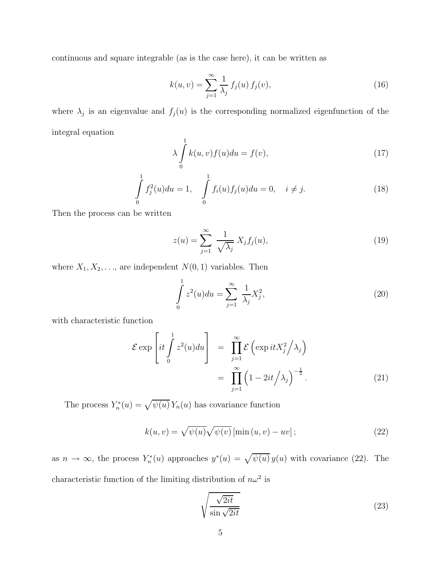continuous and square integrable (as is the case here), it can be written as

$$
k(u, v) = \sum_{j=1}^{\infty} \frac{1}{\lambda_j} f_j(u) f_j(v),
$$
\n(16)

where  $\lambda_j$  is an eigenvalue and  $f_j(u)$  is the corresponding normalized eigenfunction of the integral equation

$$
\lambda \int_{0}^{1} k(u, v) f(u) du = f(v), \qquad (17)
$$

$$
\int_{0}^{1} f_{j}^{2}(u) du = 1, \quad \int_{0}^{1} f_{i}(u) f_{j}(u) du = 0, \quad i \neq j.
$$
\n(18)

Then the process can be written

$$
z(u) = \sum_{j=1}^{\infty} \frac{1}{\sqrt{\lambda_j}} X_j f_j(u), \qquad (19)
$$

where  $X_1, X_2, \ldots$ , are independent  $N(0, 1)$  variables. Then

$$
\int_{0}^{1} z^{2}(u) du = \sum_{j=1}^{\infty} \frac{1}{\lambda_{j}} X_{j}^{2},
$$
\n(20)

with characteristic function

$$
\mathcal{E} \exp\left\{it \int_{0}^{1} z^{2}(u) du\right\} = \prod_{j=1}^{\infty} \mathcal{E}\left(\exp itX_{j}^{2}/\lambda_{j}\right)
$$

$$
= \prod_{j=1}^{\infty} \left(1 - 2it/\lambda_{j}\right)^{-\frac{1}{2}}.
$$
(21)

The process  $Y_n^*$  $X_n^*(u) = \sqrt{\psi(u)} Y_n(u)$  has covariance function

$$
k(u, v) = \sqrt{\psi(u)} \sqrt{\psi(v)} \left[ \min(u, v) - uv \right];\tag{22}
$$

as  $n \to \infty$ , the process  $Y_n^*$  $\mathcal{L}_n^{*}(u)$  approaches  $y^{*}(u) = \sqrt{\psi(u)} y(u)$  with covariance (22). The characteristic function of the limiting distribution of  $n\omega^2$  is

$$
\sqrt{\frac{\sqrt{2it}}{\sin\sqrt{2it}}}
$$
\n(23)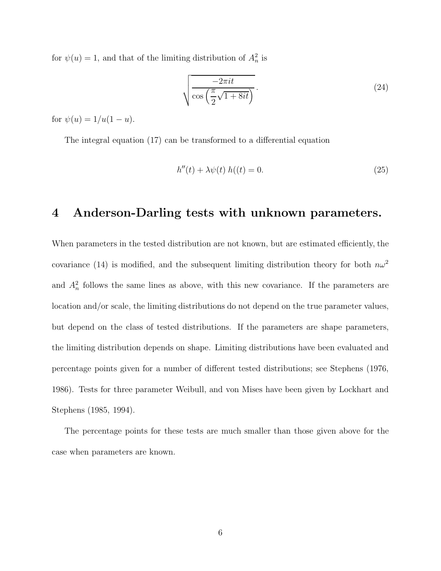for  $\psi(u) = 1$ , and that of the limiting distribution of  $A_n^2$  is

$$
\sqrt{\frac{-2\pi it}{\cos\left(\frac{\pi}{2}\sqrt{1+8it}\right)}}.
$$
\n(24)

for  $\psi(u) = 1/u(1 - u)$ .

The integral equation (17) can be transformed to a differential equation

$$
h''(t) + \lambda \psi(t) h((t) = 0.
$$
\n(25)

### 4 Anderson-Darling tests with unknown parameters.

When parameters in the tested distribution are not known, but are estimated efficiently, the covariance (14) is modified, and the subsequent limiting distribution theory for both  $n\omega^2$ and  $A_n^2$  follows the same lines as above, with this new covariance. If the parameters are location and/or scale, the limiting distributions do not depend on the true parameter values, but depend on the class of tested distributions. If the parameters are shape parameters, the limiting distribution depends on shape. Limiting distributions have been evaluated and percentage points given for a number of different tested distributions; see Stephens (1976, 1986). Tests for three parameter Weibull, and von Mises have been given by Lockhart and Stephens (1985, 1994).

The percentage points for these tests are much smaller than those given above for the case when parameters are known.